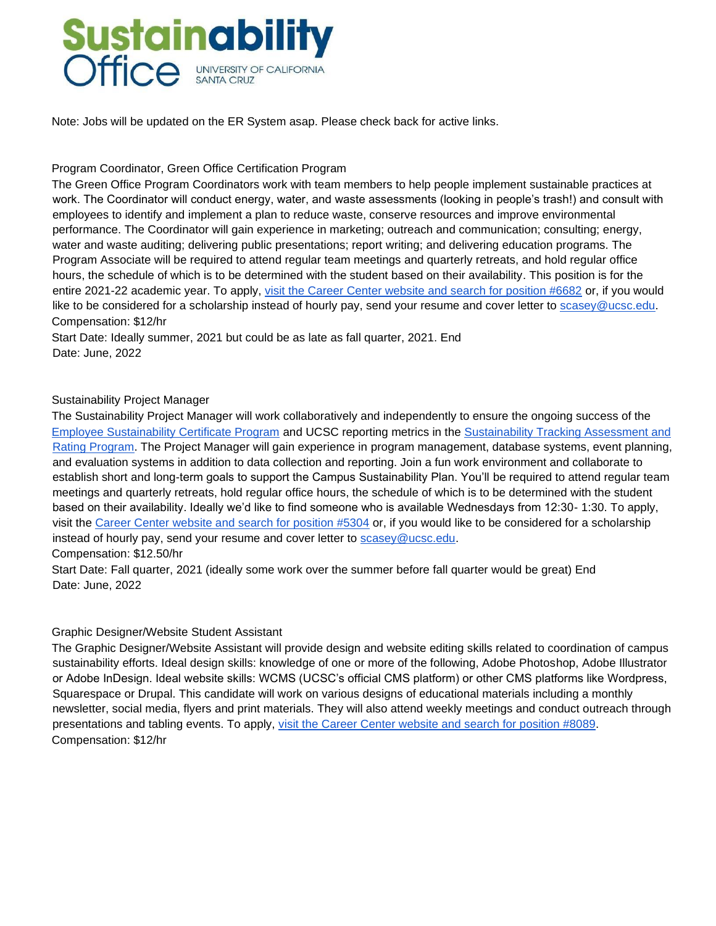

Note: Jobs will be updated on the ER System asap. Please check back for active links.

## Program Coordinator, Green Office Certification Program

The Green Office Program Coordinators work with team members to help people implement sustainable practices at work. The Coordinator will conduct energy, water, and waste assessments (looking in people's trash!) and consult with employees to identify and implement a plan to reduce waste, conserve resources and improve environmental performance. The Coordinator will gain experience in marketing; outreach and communication; consulting; energy, water and waste auditing; delivering public presentations; report writing; and delivering education programs. The Program Associate will be required to attend regular team meetings and quarterly retreats, and hold regular office hours, the schedule of which is to be determined with the student based on their availability. This position is for the entire 2021-22 academic year. To apply, [visit the Career Center website and search for position #6682](http://www.careercenter.ucsc.edu/ers/erspub/main.cfm?action=non_workstudy) [or](http://www.careercenter.ucsc.edu/ers/erspub/main.cfm?action=non_workstudy), if you would like to be considered for a scholarship instead of hourly pay, send your resume and cover letter to scasey@ucsc.edu. Compensation: \$12/hr

Start Date: Ideally summer, 2021 but could be as late as fall quarter, 2021. End Date: June, 2022

## Sustainability Project Manager

The Sustainability Project Manager will work collaboratively and independently to ensure the ongoing success of the [Employee Sustainability Certificate Program](https://sustainability.ucsc.edu/get-involved/Sustainability%20Certificate%20Program/Index.html) [an](https://sustainability.ucsc.edu/get-involved/Sustainability%20Certificate%20Program/Index.html)d UCSC reporting metrics in the [Sustainability Tracking Assessment and](https://stars.aashe.org/institutions/university-of-california-santa-cruz-ca/report/2016-03-23/) [Rating Program.](https://stars.aashe.org/institutions/university-of-california-santa-cruz-ca/report/2016-03-23/) The Project Manager will gain experience in program management, database systems, event planning, and evaluation systems in addition to data collection and reporting. Join a fun work environment and collaborate to establish short and long-term goals to support the Campus Sustainability Plan. You'll be required to attend regular team meetings and quarterly retreats, hold regular office hours, the schedule of which is to be determined with the student based on their availability. Ideally we'd like to find someone who is available Wednesdays from 12:30- 1:30. To apply, visit the [Career Center website and search for position #5304](http://www.careercenter.ucsc.edu/ers/erspub/main.cfm?action=non_workstudy) [or](http://www.careercenter.ucsc.edu/ers/erspub/main.cfm?action=non_workstudy), if you would like to be considered for a scholarship instead of hourly pay, send your resume and cover letter to scasey@ucsc.edu. Compensation: \$12.50/hr

Start Date: Fall quarter, 2021 (ideally some work over the summer before fall quarter would be great) End Date: June, 2022

## Graphic Designer/Website Student Assistant

The Graphic Designer/Website Assistant will provide design and website editing skills related to coordination of campus sustainability efforts. Ideal design skills: knowledge of one or more of the following, Adobe Photoshop, Adobe Illustrator or Adobe InDesign. Ideal website skills: WCMS (UCSC's official CMS platform) or other CMS platforms like Wordpress, Squarespace or Drupal. This candidate will work on various designs of educational materials including a monthly newsletter, social media, flyers and print materials. They will also attend weekly meetings and conduct outreach through presentations and tabling events. To apply, [visit the Career Center website and search for position #8089.](http://www.careercenter.ucsc.edu/ers/erspub/main.cfm?action=non_workstudy) Compensation: \$12/hr